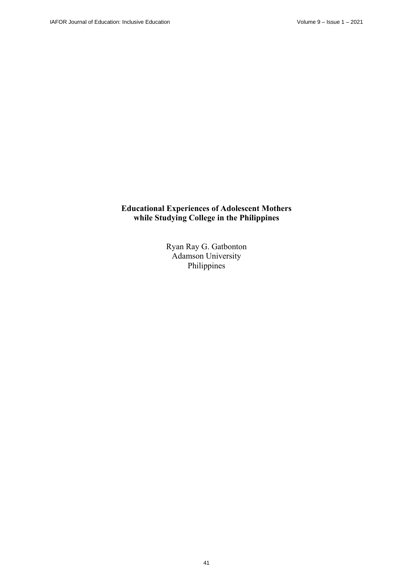# **Educational Experiences of Adolescent Mothers while Studying College in the Philippines**

Ryan Ray G. Gatbonton Adamson University Philippines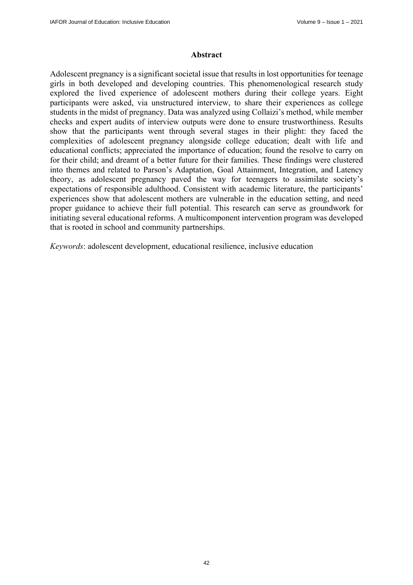#### **Abstract**

Adolescent pregnancy is a significant societal issue that results in lost opportunities for teenage girls in both developed and developing countries. This phenomenological research study explored the lived experience of adolescent mothers during their college years. Eight participants were asked, via unstructured interview, to share their experiences as college students in the midst of pregnancy. Data was analyzed using Collaizi's method, while member checks and expert audits of interview outputs were done to ensure trustworthiness. Results show that the participants went through several stages in their plight: they faced the complexities of adolescent pregnancy alongside college education; dealt with life and educational conflicts; appreciated the importance of education; found the resolve to carry on for their child; and dreamt of a better future for their families. These findings were clustered into themes and related to Parson's Adaptation, Goal Attainment, Integration, and Latency theory, as adolescent pregnancy paved the way for teenagers to assimilate society's expectations of responsible adulthood. Consistent with academic literature, the participants' experiences show that adolescent mothers are vulnerable in the education setting, and need proper guidance to achieve their full potential. This research can serve as groundwork for initiating several educational reforms. A multicomponent intervention program was developed that is rooted in school and community partnerships.

*Keywords*: adolescent development, educational resilience, inclusive education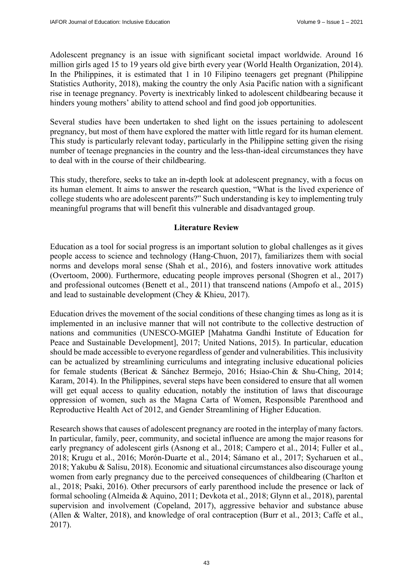Adolescent pregnancy is an issue with significant societal impact worldwide. Around 16 million girls aged 15 to 19 years old give birth every year (World Health Organization, 2014). In the Philippines, it is estimated that 1 in 10 Filipino teenagers get pregnant (Philippine Statistics Authority, 2018), making the country the only Asia Pacific nation with a significant rise in teenage pregnancy. Poverty is inextricably linked to adolescent childbearing because it hinders young mothers' ability to attend school and find good job opportunities.

Several studies have been undertaken to shed light on the issues pertaining to adolescent pregnancy, but most of them have explored the matter with little regard for its human element. This study is particularly relevant today, particularly in the Philippine setting given the rising number of teenage pregnancies in the country and the less-than-ideal circumstances they have to deal with in the course of their childbearing.

This study, therefore, seeks to take an in-depth look at adolescent pregnancy, with a focus on its human element. It aims to answer the research question, "What is the lived experience of college students who are adolescent parents?" Such understanding is key to implementing truly meaningful programs that will benefit this vulnerable and disadvantaged group.

#### **Literature Review**

Education as a tool for social progress is an important solution to global challenges as it gives people access to science and technology (Hang-Chuon, 2017), familiarizes them with social norms and develops moral sense (Shah et al., 2016), and fosters innovative work attitudes (Overtoom, 2000). Furthermore, educating people improves personal (Shogren et al., 2017) and professional outcomes (Benett et al., 2011) that transcend nations (Ampofo et al., 2015) and lead to sustainable development (Chey & Khieu, 2017).

Education drives the movement of the social conditions of these changing times as long as it is implemented in an inclusive manner that will not contribute to the collective destruction of nations and communities (UNESCO-MGIEP [Mahatma Gandhi Institute of Education for Peace and Sustainable Development], 2017; United Nations, 2015). In particular, education should be made accessible to everyone regardless of gender and vulnerabilities. This inclusivity can be actualized by streamlining curriculums and integrating inclusive educational policies for female students (Bericat & Sánchez Bermejo, 2016; Hsiao-Chin & Shu-Ching, 2014; Karam, 2014). In the Philippines, several steps have been considered to ensure that all women will get equal access to quality education, notably the institution of laws that discourage oppression of women, such as the Magna Carta of Women, Responsible Parenthood and Reproductive Health Act of 2012, and Gender Streamlining of Higher Education.

Research shows that causes of adolescent pregnancy are rooted in the interplay of many factors. In particular, family, peer, community, and societal influence are among the major reasons for early pregnancy of adolescent girls (Asnong et al., 2018; Campero et al., 2014; Fuller et al., 2018; Krugu et al., 2016; Morón-Duarte et al., 2014; Sámano et al., 2017; Sycharuen et al., 2018; Yakubu & Salisu, 2018). Economic and situational circumstances also discourage young women from early pregnancy due to the perceived consequences of childbearing (Charlton et al., 2018; Psaki, 2016). Other precursors of early parenthood include the presence or lack of formal schooling (Almeida & Aquino, 2011; Devkota et al., 2018; Glynn et al., 2018), parental supervision and involvement (Copeland, 2017), aggressive behavior and substance abuse (Allen & Walter, 2018), and knowledge of oral contraception (Burr et al., 2013; Caffe et al., 2017).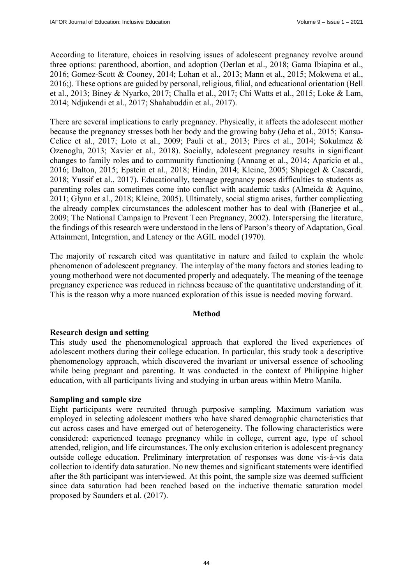According to literature, choices in resolving issues of adolescent pregnancy revolve around three options: parenthood, abortion, and adoption (Derlan et al., 2018; Gama Ibiapina et al., 2016; Gomez-Scott & Cooney, 2014; Lohan et al., 2013; Mann et al., 2015; Mokwena et al., 2016;). These options are guided by personal, religious, filial, and educational orientation (Bell et al., 2013; Biney & Nyarko, 2017; Challa et al., 2017; Chi Watts et al., 2015; Loke & Lam, 2014; Ndjukendi et al., 2017; Shahabuddin et al., 2017).

There are several implications to early pregnancy. Physically, it affects the adolescent mother because the pregnancy stresses both her body and the growing baby (Jeha et al., 2015; Kansu-Celice et al., 2017; Loto et al., 2009; Pauli et al., 2013; Pires et al., 2014; Sokulmez & Ozenoglu, 2013; Xavier et al., 2018). Socially, adolescent pregnancy results in significant changes to family roles and to community functioning (Annang et al., 2014; Aparicio et al., 2016; Dalton, 2015; Epstein et al., 2018; Hindin, 2014; Kleine, 2005; Shpiegel & Cascardi, 2018; Yussif et al., 2017). Educationally, teenage pregnancy poses difficulties to students as parenting roles can sometimes come into conflict with academic tasks (Almeida & Aquino, 2011; Glynn et al., 2018; Kleine, 2005). Ultimately, social stigma arises, further complicating the already complex circumstances the adolescent mother has to deal with (Banerjee et al., 2009; The National Campaign to Prevent Teen Pregnancy, 2002). Interspersing the literature, the findings of this research were understood in the lens of Parson's theory of Adaptation, Goal Attainment, Integration, and Latency or the AGIL model (1970).

The majority of research cited was quantitative in nature and failed to explain the whole phenomenon of adolescent pregnancy. The interplay of the many factors and stories leading to young motherhood were not documented properly and adequately. The meaning of the teenage pregnancy experience was reduced in richness because of the quantitative understanding of it. This is the reason why a more nuanced exploration of this issue is needed moving forward.

#### **Method**

## **Research design and setting**

This study used the phenomenological approach that explored the lived experiences of adolescent mothers during their college education. In particular, this study took a descriptive phenomenology approach, which discovered the invariant or universal essence of schooling while being pregnant and parenting. It was conducted in the context of Philippine higher education, with all participants living and studying in urban areas within Metro Manila.

#### **Sampling and sample size**

Eight participants were recruited through purposive sampling. Maximum variation was employed in selecting adolescent mothers who have shared demographic characteristics that cut across cases and have emerged out of heterogeneity. The following characteristics were considered: experienced teenage pregnancy while in college, current age, type of school attended, religion, and life circumstances. The only exclusion criterion is adolescent pregnancy outside college education. Preliminary interpretation of responses was done vis-à-vis data collection to identify data saturation. No new themes and significant statements were identified after the 8th participant was interviewed. At this point, the sample size was deemed sufficient since data saturation had been reached based on the inductive thematic saturation model proposed by Saunders et al. (2017).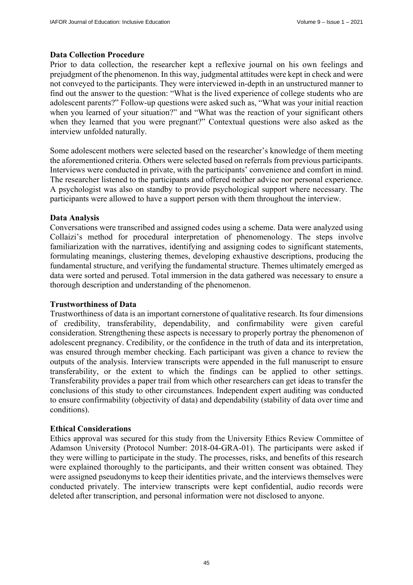#### **Data Collection Procedure**

Prior to data collection, the researcher kept a reflexive journal on his own feelings and prejudgment of the phenomenon. In this way, judgmental attitudes were kept in check and were not conveyed to the participants. They were interviewed in-depth in an unstructured manner to find out the answer to the question: "What is the lived experience of college students who are adolescent parents?" Follow-up questions were asked such as, "What was your initial reaction when you learned of your situation?" and "What was the reaction of your significant others when they learned that you were pregnant?" Contextual questions were also asked as the interview unfolded naturally.

Some adolescent mothers were selected based on the researcher's knowledge of them meeting the aforementioned criteria. Others were selected based on referrals from previous participants. Interviews were conducted in private, with the participants' convenience and comfort in mind. The researcher listened to the participants and offered neither advice nor personal experience. A psychologist was also on standby to provide psychological support where necessary. The participants were allowed to have a support person with them throughout the interview.

#### **Data Analysis**

Conversations were transcribed and assigned codes using a scheme. Data were analyzed using Collaizi's method for procedural interpretation of phenomenology. The steps involve familiarization with the narratives, identifying and assigning codes to significant statements, formulating meanings, clustering themes, developing exhaustive descriptions, producing the fundamental structure, and verifying the fundamental structure. Themes ultimately emerged as data were sorted and perused. Total immersion in the data gathered was necessary to ensure a thorough description and understanding of the phenomenon.

#### **Trustworthiness of Data**

Trustworthiness of data is an important cornerstone of qualitative research. Its four dimensions of credibility, transferability, dependability, and confirmability were given careful consideration. Strengthening these aspects is necessary to properly portray the phenomenon of adolescent pregnancy. Credibility, or the confidence in the truth of data and its interpretation, was ensured through member checking. Each participant was given a chance to review the outputs of the analysis. Interview transcripts were appended in the full manuscript to ensure transferability, or the extent to which the findings can be applied to other settings. Transferability provides a paper trail from which other researchers can get ideas to transfer the conclusions of this study to other circumstances. Independent expert auditing was conducted to ensure confirmability (objectivity of data) and dependability (stability of data over time and conditions).

#### **Ethical Considerations**

Ethics approval was secured for this study from the University Ethics Review Committee of Adamson University (Protocol Number: 2018-04-GRA-01). The participants were asked if they were willing to participate in the study. The processes, risks, and benefits of this research were explained thoroughly to the participants, and their written consent was obtained. They were assigned pseudonyms to keep their identities private, and the interviews themselves were conducted privately. The interview transcripts were kept confidential, audio records were deleted after transcription, and personal information were not disclosed to anyone.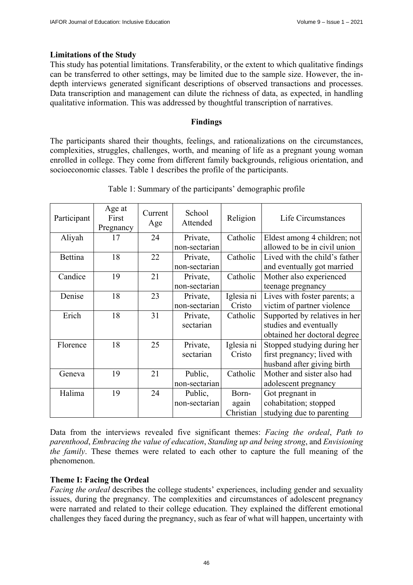#### **Limitations of the Study**

This study has potential limitations. Transferability, or the extent to which qualitative findings can be transferred to other settings, may be limited due to the sample size. However, the indepth interviews generated significant descriptions of observed transactions and processes. Data transcription and management can dilute the richness of data, as expected, in handling qualitative information. This was addressed by thoughtful transcription of narratives.

#### **Findings**

The participants shared their thoughts, feelings, and rationalizations on the circumstances, complexities, struggles, challenges, worth, and meaning of life as a pregnant young woman enrolled in college. They come from different family backgrounds, religious orientation, and socioeconomic classes. Table 1 describes the profile of the participants.

| Participant | Age at<br>First<br>Pregnancy | Current<br>Age | School<br>Attended | Religion   | Life Circumstances            |
|-------------|------------------------------|----------------|--------------------|------------|-------------------------------|
| Aliyah      | 17                           | 24             | Private,           | Catholic   | Eldest among 4 children; not  |
|             |                              |                | non-sectarian      |            | allowed to be in civil union  |
| Bettina     | 18                           | 22             | Private,           | Catholic   | Lived with the child's father |
|             |                              |                | non-sectarian      |            | and eventually got married    |
| Candice     | 19                           | 21             | Private,           | Catholic   | Mother also experienced       |
|             |                              |                | non-sectarian      |            | teenage pregnancy             |
| Denise      | 18                           | 23             | Private,           | Iglesia ni | Lives with foster parents; a  |
|             |                              |                | non-sectarian      | Cristo     | victim of partner violence    |
| Erich       | 18                           | 31             | Private,           | Catholic   | Supported by relatives in her |
|             |                              |                | sectarian          |            | studies and eventually        |
|             |                              |                |                    |            | obtained her doctoral degree  |
| Florence    | 18                           | 25             | Private,           | Iglesia ni | Stopped studying during her   |
|             |                              |                | sectarian          | Cristo     | first pregnancy; lived with   |
|             |                              |                |                    |            | husband after giving birth    |
| Geneva      | 19                           | 21             | Public,            | Catholic   | Mother and sister also had    |
|             |                              |                | non-sectarian      |            | adolescent pregnancy          |
| Halima      | 19                           | 24             | Public,            | Born-      | Got pregnant in               |
|             |                              |                | non-sectarian      | again      | cohabitation; stopped         |
|             |                              |                |                    | Christian  | studying due to parenting     |

Table 1: Summary of the participants' demographic profile

Data from the interviews revealed five significant themes: *Facing the ordeal*, *Path to parenthood*, *Embracing the value of education*, *Standing up and being strong*, and *Envisioning the family*. These themes were related to each other to capture the full meaning of the phenomenon.

## **Theme I: Facing the Ordeal**

*Facing the ordeal* describes the college students' experiences, including gender and sexuality issues, during the pregnancy. The complexities and circumstances of adolescent pregnancy were narrated and related to their college education. They explained the different emotional challenges they faced during the pregnancy, such as fear of what will happen, uncertainty with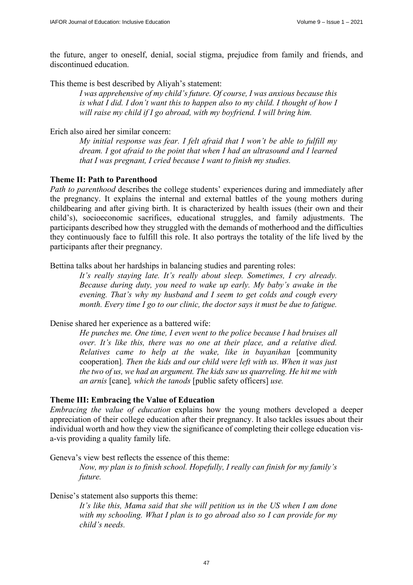the future, anger to oneself, denial, social stigma, prejudice from family and friends, and discontinued education.

This theme is best described by Aliyah's statement:

*I was apprehensive of my child's future. Of course, I was anxious because this is what I did. I don't want this to happen also to my child. I thought of how I will raise my child if I go abroad, with my boyfriend. I will bring him.* 

Erich also aired her similar concern:

*My initial response was fear. I felt afraid that I won't be able to fulfill my dream. I got afraid to the point that when I had an ultrasound and I learned that I was pregnant, I cried because I want to finish my studies.* 

#### **Theme II: Path to Parenthood**

*Path to parenthood* describes the college students' experiences during and immediately after the pregnancy. It explains the internal and external battles of the young mothers during childbearing and after giving birth. It is characterized by health issues (their own and their child's), socioeconomic sacrifices, educational struggles, and family adjustments. The participants described how they struggled with the demands of motherhood and the difficulties they continuously face to fulfill this role. It also portrays the totality of the life lived by the participants after their pregnancy.

Bettina talks about her hardships in balancing studies and parenting roles:

*It's really staying late. It's really about sleep. Sometimes, I cry already. Because during duty, you need to wake up early. My baby's awake in the evening. That's why my husband and I seem to get colds and cough every month. Every time I go to our clinic, the doctor says it must be due to fatigue.* 

#### Denise shared her experience as a battered wife:

*He punches me. One time, I even went to the police because I had bruises all over. It's like this, there was no one at their place, and a relative died. Relatives came to help at the wake, like in bayanihan* [community cooperation]*. Then the kids and our child were left with us. When it was just the two of us, we had an argument. The kids saw us quarreling. He hit me with an arnis* [cane]*, which the tanods* [public safety officers] *use.* 

#### **Theme III: Embracing the Value of Education**

*Embracing the value of education* explains how the young mothers developed a deeper appreciation of their college education after their pregnancy. It also tackles issues about their individual worth and how they view the significance of completing their college education visa-vis providing a quality family life.

Geneva's view best reflects the essence of this theme:

*Now, my plan is to finish school. Hopefully, I really can finish for my family's future.* 

#### Denise's statement also supports this theme:

*It's like this, Mama said that she will petition us in the US when I am done with my schooling. What I plan is to go abroad also so I can provide for my child's needs.*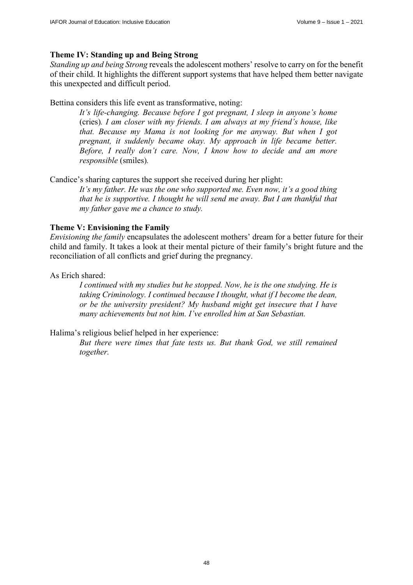# **Theme IV: Standing up and Being Strong**

*Standing up and being Strong* reveals the adolescent mothers' resolve to carry on for the benefit of their child. It highlights the different support systems that have helped them better navigate this unexpected and difficult period.

# Bettina considers this life event as transformative, noting:

*It's life-changing. Because before I got pregnant, I sleep in anyone's home*  (cries)*. I am closer with my friends. I am always at my friend's house, like that. Because my Mama is not looking for me anyway. But when I got pregnant, it suddenly became okay. My approach in life became better. Before, I really don't care. Now, I know how to decide and am more responsible* (smiles)*.* 

Candice's sharing captures the support she received during her plight:

*It's my father. He was the one who supported me. Even now, it's a good thing that he is supportive. I thought he will send me away. But I am thankful that my father gave me a chance to study.* 

# **Theme V: Envisioning the Family**

*Envisioning the family* encapsulates the adolescent mothers' dream for a better future for their child and family. It takes a look at their mental picture of their family's bright future and the reconciliation of all conflicts and grief during the pregnancy.

As Erich shared:

*I continued with my studies but he stopped. Now, he is the one studying. He is taking Criminology. I continued because I thought, what if I become the dean, or be the university president? My husband might get insecure that I have many achievements but not him. I've enrolled him at San Sebastian.* 

Halima's religious belief helped in her experience:

*But there were times that fate tests us. But thank God, we still remained together.*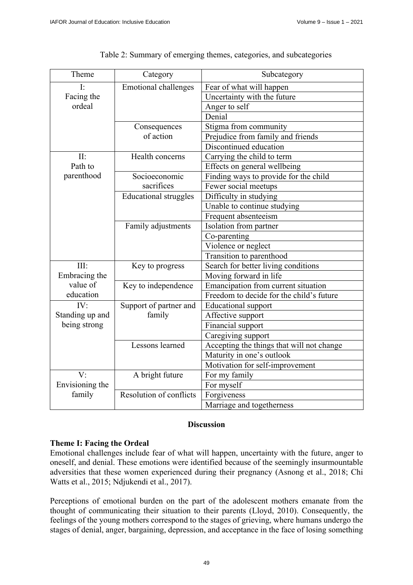| Theme           | Category                     | Subcategory                               |  |  |
|-----------------|------------------------------|-------------------------------------------|--|--|
| Ŀ               | <b>Emotional challenges</b>  | Fear of what will happen                  |  |  |
| Facing the      |                              | Uncertainty with the future               |  |  |
| ordeal          |                              | Anger to self                             |  |  |
|                 |                              | Denial                                    |  |  |
|                 | Consequences                 | Stigma from community                     |  |  |
|                 | of action                    | Prejudice from family and friends         |  |  |
|                 |                              | Discontinued education                    |  |  |
| II:             | Health concerns              | Carrying the child to term                |  |  |
| Path to         |                              | Effects on general wellbeing              |  |  |
| parenthood      | Socioeconomic                | Finding ways to provide for the child     |  |  |
|                 | sacrifices                   | Fewer social meetups                      |  |  |
|                 | <b>Educational struggles</b> | Difficulty in studying                    |  |  |
|                 |                              | Unable to continue studying               |  |  |
|                 |                              | Frequent absenteeism                      |  |  |
|                 | Family adjustments           | Isolation from partner                    |  |  |
|                 |                              | Co-parenting                              |  |  |
|                 |                              | Violence or neglect                       |  |  |
|                 |                              | Transition to parenthood                  |  |  |
| III:            | Key to progress              | Search for better living conditions       |  |  |
| Embracing the   |                              | Moving forward in life                    |  |  |
| value of        | Key to independence          | Emancipation from current situation       |  |  |
| education       |                              | Freedom to decide for the child's future  |  |  |
| IV:             | Support of partner and       | <b>Educational</b> support                |  |  |
| Standing up and | family                       | Affective support                         |  |  |
| being strong    |                              | Financial support                         |  |  |
|                 |                              | Caregiving support                        |  |  |
|                 | Lessons learned              | Accepting the things that will not change |  |  |
|                 |                              | Maturity in one's outlook                 |  |  |
|                 |                              | Motivation for self-improvement           |  |  |
| V:              | A bright future              | For my family                             |  |  |
| Envisioning the |                              | For myself                                |  |  |
| family          | Resolution of conflicts      | Forgiveness                               |  |  |
|                 |                              | Marriage and togetherness                 |  |  |

Table 2: Summary of emerging themes, categories, and subcategories

# **Discussion**

#### **Theme I: Facing the Ordeal**

Emotional challenges include fear of what will happen, uncertainty with the future, anger to oneself, and denial. These emotions were identified because of the seemingly insurmountable adversities that these women experienced during their pregnancy (Asnong et al., 2018; Chi Watts et al., 2015; Ndjukendi et al., 2017).

Perceptions of emotional burden on the part of the adolescent mothers emanate from the thought of communicating their situation to their parents (Lloyd, 2010). Consequently, the feelings of the young mothers correspond to the stages of grieving, where humans undergo the stages of denial, anger, bargaining, depression, and acceptance in the face of losing something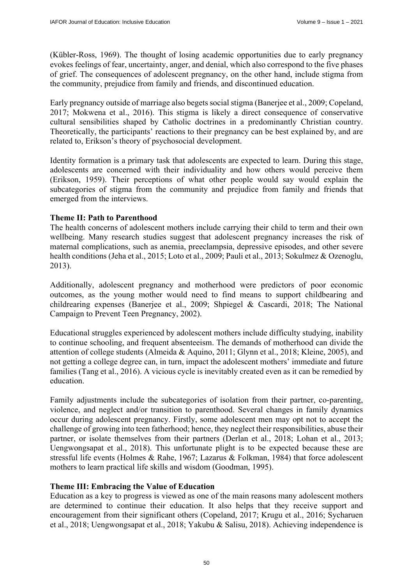(Kübler-Ross, 1969). The thought of losing academic opportunities due to early pregnancy evokes feelings of fear, uncertainty, anger, and denial, which also correspond to the five phases of grief. The consequences of adolescent pregnancy, on the other hand, include stigma from the community, prejudice from family and friends, and discontinued education.

Early pregnancy outside of marriage also begets social stigma (Banerjee et al., 2009; Copeland, 2017; Mokwena et al., 2016). This stigma is likely a direct consequence of conservative cultural sensibilities shaped by Catholic doctrines in a predominantly Christian country. Theoretically, the participants' reactions to their pregnancy can be best explained by, and are related to, Erikson's theory of psychosocial development.

Identity formation is a primary task that adolescents are expected to learn. During this stage, adolescents are concerned with their individuality and how others would perceive them (Erikson, 1959). Their perceptions of what other people would say would explain the subcategories of stigma from the community and prejudice from family and friends that emerged from the interviews.

## **Theme II: Path to Parenthood**

The health concerns of adolescent mothers include carrying their child to term and their own wellbeing. Many research studies suggest that adolescent pregnancy increases the risk of maternal complications, such as anemia, preeclampsia, depressive episodes, and other severe health conditions (Jeha et al., 2015; Loto et al., 2009; Pauli et al., 2013; Sokulmez & Ozenoglu, 2013).

Additionally, adolescent pregnancy and motherhood were predictors of poor economic outcomes, as the young mother would need to find means to support childbearing and childrearing expenses (Banerjee et al., 2009; Shpiegel & Cascardi, 2018; The National Campaign to Prevent Teen Pregnancy, 2002).

Educational struggles experienced by adolescent mothers include difficulty studying, inability to continue schooling, and frequent absenteeism. The demands of motherhood can divide the attention of college students (Almeida & Aquino, 2011; Glynn et al., 2018; Kleine, 2005), and not getting a college degree can, in turn, impact the adolescent mothers' immediate and future families (Tang et al., 2016). A vicious cycle is inevitably created even as it can be remedied by education.

Family adjustments include the subcategories of isolation from their partner, co-parenting, violence, and neglect and/or transition to parenthood. Several changes in family dynamics occur during adolescent pregnancy. Firstly, some adolescent men may opt not to accept the challenge of growing into teen fatherhood; hence, they neglect their responsibilities, abuse their partner, or isolate themselves from their partners (Derlan et al., 2018; Lohan et al., 2013; Uengwongsapat et al., 2018). This unfortunate plight is to be expected because these are stressful life events (Holmes & Rahe, 1967; Lazarus & Folkman, 1984) that force adolescent mothers to learn practical life skills and wisdom (Goodman, 1995).

## **Theme III: Embracing the Value of Education**

Education as a key to progress is viewed as one of the main reasons many adolescent mothers are determined to continue their education. It also helps that they receive support and encouragement from their significant others (Copeland, 2017; Krugu et al., 2016; Sycharuen et al., 2018; Uengwongsapat et al., 2018; Yakubu & Salisu, 2018). Achieving independence is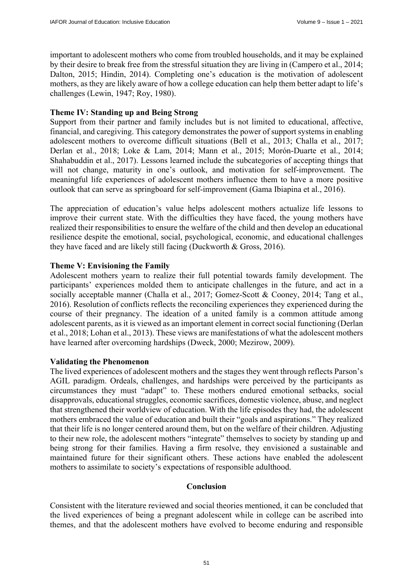important to adolescent mothers who come from troubled households, and it may be explained by their desire to break free from the stressful situation they are living in (Campero et al., 2014; Dalton, 2015; Hindin, 2014). Completing one's education is the motivation of adolescent mothers, as they are likely aware of how a college education can help them better adapt to life's challenges (Lewin, 1947; Roy, 1980).

#### **Theme IV: Standing up and Being Strong**

Support from their partner and family includes but is not limited to educational, affective, financial, and caregiving. This category demonstrates the power of support systems in enabling adolescent mothers to overcome difficult situations (Bell et al., 2013; Challa et al., 2017; Derlan et al., 2018; Loke & Lam, 2014; Mann et al., 2015; Morón-Duarte et al., 2014; Shahabuddin et al., 2017). Lessons learned include the subcategories of accepting things that will not change, maturity in one's outlook, and motivation for self-improvement. The meaningful life experiences of adolescent mothers influence them to have a more positive outlook that can serve as springboard for self-improvement (Gama Ibiapina et al., 2016).

The appreciation of education's value helps adolescent mothers actualize life lessons to improve their current state. With the difficulties they have faced, the young mothers have realized their responsibilities to ensure the welfare of the child and then develop an educational resilience despite the emotional, social, psychological, economic, and educational challenges they have faced and are likely still facing (Duckworth & Gross, 2016).

#### **Theme V: Envisioning the Family**

Adolescent mothers yearn to realize their full potential towards family development. The participants' experiences molded them to anticipate challenges in the future, and act in a socially acceptable manner (Challa et al., 2017; Gomez-Scott & Cooney, 2014; Tang et al., 2016). Resolution of conflicts reflects the reconciling experiences they experienced during the course of their pregnancy. The ideation of a united family is a common attitude among adolescent parents, as it is viewed as an important element in correct social functioning (Derlan et al., 2018; Lohan et al., 2013). These views are manifestations of what the adolescent mothers have learned after overcoming hardships (Dweck, 2000; Mezirow, 2009).

#### **Validating the Phenomenon**

The lived experiences of adolescent mothers and the stages they went through reflects Parson's AGIL paradigm. Ordeals, challenges, and hardships were perceived by the participants as circumstances they must "adapt" to. These mothers endured emotional setbacks, social disapprovals, educational struggles, economic sacrifices, domestic violence, abuse, and neglect that strengthened their worldview of education. With the life episodes they had, the adolescent mothers embraced the value of education and built their "goals and aspirations." They realized that their life is no longer centered around them, but on the welfare of their children. Adjusting to their new role, the adolescent mothers "integrate" themselves to society by standing up and being strong for their families. Having a firm resolve, they envisioned a sustainable and maintained future for their significant others. These actions have enabled the adolescent mothers to assimilate to society's expectations of responsible adulthood.

#### **Conclusion**

Consistent with the literature reviewed and social theories mentioned, it can be concluded that the lived experiences of being a pregnant adolescent while in college can be ascribed into themes, and that the adolescent mothers have evolved to become enduring and responsible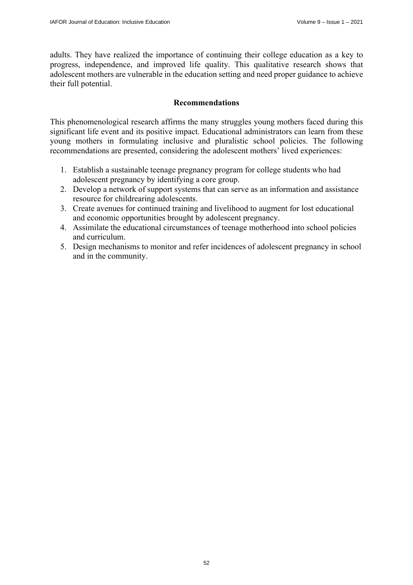adults. They have realized the importance of continuing their college education as a key to progress, independence, and improved life quality. This qualitative research shows that adolescent mothers are vulnerable in the education setting and need proper guidance to achieve their full potential.

# **Recommendations**

This phenomenological research affirms the many struggles young mothers faced during this significant life event and its positive impact. Educational administrators can learn from these young mothers in formulating inclusive and pluralistic school policies. The following recommendations are presented, considering the adolescent mothers' lived experiences:

- 1. Establish a sustainable teenage pregnancy program for college students who had adolescent pregnancy by identifying a core group.
- 2. Develop a network of support systems that can serve as an information and assistance resource for childrearing adolescents.
- 3. Create avenues for continued training and livelihood to augment for lost educational and economic opportunities brought by adolescent pregnancy.
- 4. Assimilate the educational circumstances of teenage motherhood into school policies and curriculum.
- 5. Design mechanisms to monitor and refer incidences of adolescent pregnancy in school and in the community.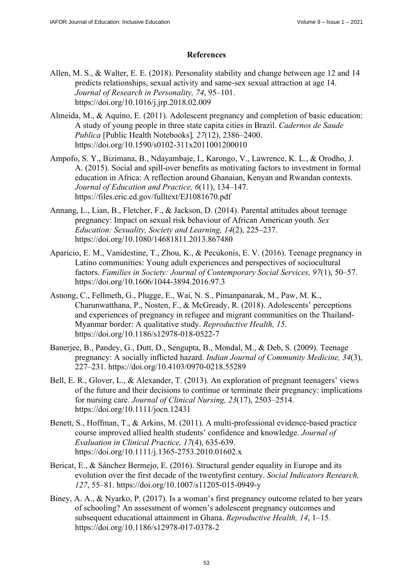# **References**

- Allen, M. S., & Walter, E. E. (2018). Personality stability and change between age 12 and 14 predicts relationships, sexual activity and same-sex sexual attraction at age 14. *Journal of Research in Personality, 74*, 95–101. <https://doi.org/10.1016/j.jrp.2018.02.009>
- Almeida, M., & Aquino, E. (2011). Adolescent pregnancy and completion of basic education: A study of young people in three state capita cities in Brazil. *Cadernos de Saude Publica* [Public Health Notebooks]*, 27*(12), 2386–2400. <https://doi.org/10.1590/s0102-311x2011001200010>
- Ampofo, S. Y., Bizimana, B., Ndayambaje, I., Karongo, V., Lawrence, K. L., & Orodho, J. A. (2015). Social and spill-over benefits as motivating factors to investment in formal education in Africa: A reflection around Ghanaian, Kenyan and Rwandan contexts. *Journal of Education and Practice, 6*(11), 134–147. <https://files.eric.ed.gov/fulltext/EJ1081670.pdf>
- Annang, L., Lian, B., Fletcher, F., & Jackson, D. (2014). Parental attitudes about teenage pregnancy: Impact on sexual risk behaviour of African American youth. *Sex Education: Sexuality, Society and Learning, 14*(2), 225–237. <https://doi.org/10.1080/14681811.2013.867480>
- Aparicio, E. M., Vanidestine, T., Zhou, K., & Pecukonis, E. V. (2016). Teenage pregnancy in Latino communities: Young adult experiences and perspectives of sociocultural factors. *Families in Society: Journal of Contemporary Social Services, 97*(1), 50–57. <https://doi.org/10.1606/1044-3894.2016.97.3>
- Asnong, C., Fellmeth, G., Plugge, E., Wai, N. S., Pimanpanarak, M., Paw, M. K., Charunwatthana, P., Nosten, F., & McGready, R. (2018). Adolescents' perceptions and experiences of pregnancy in refugee and migrant communities on the Thailand-Myanmar border: A qualitative study. *Reproductive Health, 15*. <https://doi.org/10.1186/s12978-018-0522-7>
- Banerjee, B., Pandey, G., Dutt, D., Sengupta, B., Mondal, M., & Deb, S. (2009). Teenage pregnancy: A socially inflicted hazard. *Indian Journal of Community Medicine, 34*(3), 227–231. <https://doi.org/10.4103/0970-0218.55289>
- Bell, E. R., Glover, L., & Alexander, T. (2013). An exploration of pregnant teenagers' views of the future and their decisions to continue or terminate their pregnancy: implications for nursing care. *Journal of Clinical Nursing, 23*(17), 2503–2514. <https://doi.org/10.1111/jocn.12431>
- Benett, S., Hoffman, T., & Arkins, M. (2011). A multi-professional evidence-based practice course improved allied health students' confidence and knowledge. *Journal of Evaluation in Clinical Practice, 17*(4), 635-639. <https://doi.org/10.1111/j.1365-2753.2010.01602.x>
- Bericat, E., & Sánchez Bermejo, E. (2016). Structural gender equality in Europe and its evolution over the first decade of the twentyfirst century. *Social Indicators Research, 127*, 55–81. <https://doi.org/10.1007/s11205-015-0949-y>
- Biney, A. A., & Nyarko, P. (2017). Is a woman's first pregnancy outcome related to her years of schooling? An assessment of women's adolescent pregnancy outcomes and subsequent educational attainment in Ghana. *Reproductive Health, 14*, 1–15. <https://doi.org/10.1186/s12978-017-0378-2>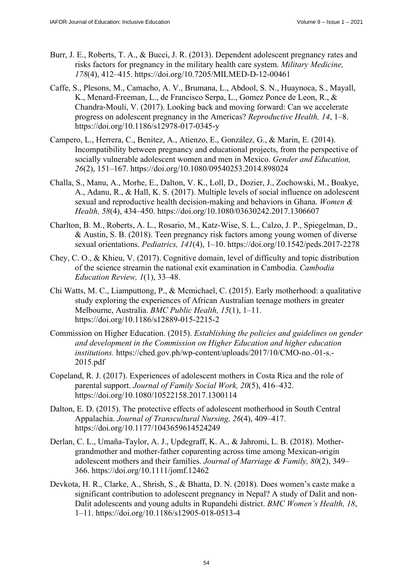- Burr, J. E., Roberts, T. A., & Bucci, J. R. (2013). Dependent adolescent pregnancy rates and risks factors for pregnancy in the military health care system. *Military Medicine, 178*(4), 412–415. <https://doi.org/10.7205/MILMED-D-12-00461>
- Caffe, S., Plesons, M., Camacho, A. V., Brumana, L., Abdool, S. N., Huaynoca, S., Mayall, K., Menard-Freeman, L., de Francisco Serpa, L., Gomez Ponce de Leon, R., & Chandra-Mouli, V. (2017). Looking back and moving forward: Can we accelerate progress on adolescent pregnancy in the Americas? *Reproductive Health, 14*, 1–8. <https://doi.org/10.1186/s12978-017-0345-y>
- Campero, L., Herrera, C., Benitez, A., Atienzo, E., González, G., & Marin, E. (2014). Incompatibility between pregnancy and educational projects, from the perspective of socially vulnerable adolescent women and men in Mexico. *Gender and Education, 26*(2), 151–167. <https://doi.org/10.1080/09540253.2014.898024>
- Challa, S., Manu, A., Morhe, E., Dalton, V. K., Loll, D., Dozier, J., Zochowski, M., Boakye, A., Adanu, R., & Hall, K. S. (2017). Multiple levels of social influence on adolescent sexual and reproductive health decision-making and behaviors in Ghana. *Women & Health, 58*(4), 434–450. <https://doi.org/10.1080/03630242.2017.1306607>
- Charlton, B. M., Roberts, A. L., Rosario, M., Katz-Wise, S. L., Calzo, J. P., Spiegelman, D., & Austin, S. B. (2018). Teen pregnancy risk factors among young women of diverse sexual orientations. *Pediatrics, 141*(4), 1–10. <https://doi.org/10.1542/peds.2017-2278>
- Chey, C. O., & Khieu, V. (2017). Cognitive domain, level of difficulty and topic distribution of the science streamin the national exit examination in Cambodia. *Cambodia Education Review, 1*(1), 33–48.
- Chi Watts, M. C., Liamputtong, P., & Mcmichael, C. (2015). Early motherhood: a qualitative study exploring the experiences of African Australian teenage mothers in greater Melbourne, Australia. *BMC Public Health, 15*(1), 1–11. <https://doi.org/10.1186/s12889-015-2215-2>
- Commission on Higher Education. (2015). *Establishing the policies and guidelines on gender and development in the Commission on Higher Education and higher education institutions.* [https://ched.gov.ph/wp-content/uploads/2017/10/CMO-no.-01-s.-](https://ched.gov.ph/wp-content/uploads/2017/10/CMO-no.-01-s.-2015.pdf) [2015.pdf](https://ched.gov.ph/wp-content/uploads/2017/10/CMO-no.-01-s.-2015.pdf)
- Copeland, R. J. (2017). Experiences of adolescent mothers in Costa Rica and the role of parental support. *Journal of Family Social Work, 20*(5), 416–432. <https://doi.org/10.1080/10522158.2017.1300114>
- Dalton, E. D. (2015). The protective effects of adolescent motherhood in South Central Appalachia. *Journal of Transcultural Nursing, 26*(4), 409–417. <https://doi.org/10.1177/1043659614524249>
- Derlan, C. L., Umaña‐Taylor, A. J., Updegraff, K. A., & Jahromi, L. B. (2018). Mothergrandmother and mother-father coparenting across time among Mexican‐origin adolescent mothers and their families. *Journal of Marriage & Family, 80*(2), 349– 366. <https://doi.org/10.1111/jomf.12462>
- Devkota, H. R., Clarke, A., Shrish, S., & Bhatta, D. N. (2018). Does women's caste make a significant contribution to adolescent pregnancy in Nepal? A study of Dalit and non-Dalit adolescents and young adults in Rupandehi district. *BMC Women's Health, 18*, 1–11. <https://doi.org/10.1186/s12905-018-0513-4>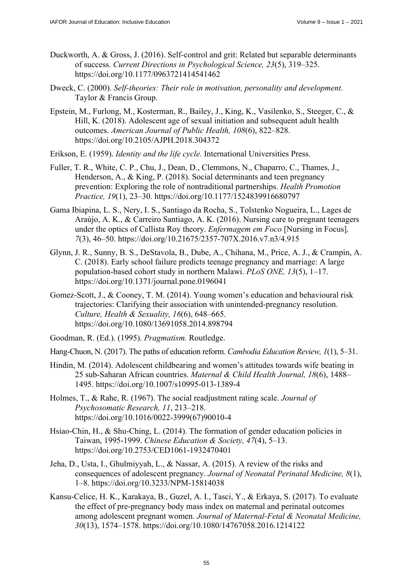- Duckworth, A. & Gross, J. (2016). Self-control and grit: Related but separable determinants of success. *Current Directions in Psychological Science, 23*(5), 319–325. <https://doi.org/10.1177/0963721414541462>
- Dweck, C. (2000). *Self-theories: Their role in motivation, personality and development*. Taylor & Francis Group.
- Epstein, M., Furlong, M., Kosterman, R., Bailey, J., King, K., Vasilenko, S., Steeger, C., & Hill, K. (2018). Adolescent age of sexual initiation and subsequent adult health outcomes. *American Journal of Public Health, 108*(6), 822–828. <https://doi.org/10.2105/AJPH.2018.304372>
- Erikson, E. (1959). *Identity and the life cycle.* International Universities Press.
- Fuller, T. R., White, C. P., Chu, J., Dean, D., Clemmons, N., Chaparro, C., Thames, J., Henderson, A., & King, P. (2018). Social determinants and teen pregnancy prevention: Exploring the role of nontraditional partnerships. *Health Promotion Practice, 19*(1), 23–30. <https://doi.org/10.1177/1524839916680797>
- Gama Ibiapina, L. S., Nery, I. S., Santiago da Rocha, S., Tolstenko Nogueira, L., Lages de Araújo, A. K., & Carreiro Santiago, A. K. (2016). Nursing care to pregnant teenagers under the optics of Callista Roy theory. *Enfermagem em Foco* [Nursing in Focus]*, 7*(3), 46–50. <https://doi.org/10.21675/2357-707X.2016.v7.n3/4.915>
- Glynn, J. R., Sunny, B. S., DeStavola, B., Dube, A., Chihana, M., Price, A. J., & Crampin, A. C. (2018). Early school failure predicts teenage pregnancy and marriage: A large population-based cohort study in northern Malawi. *PLoS ONE, 13*(5), 1–17. <https://doi.org/10.1371/journal.pone.0196041>
- Gomez-Scott, J., & Cooney, T. M. (2014). Young women's education and behavioural risk trajectories: Clarifying their association with unintended-pregnancy resolution. *Culture, Health & Sexuality, 16*(6), 648–665. <https://doi.org/10.1080/13691058.2014.898794>
- Goodman, R. (Ed.). (1995). *Pragmatism.* Routledge.
- Hang-Chuon, N. (2017). The paths of education reform. *Cambodia Education Review, 1*(1), 5–31.
- Hindin, M. (2014). Adolescent childbearing and women's attitudes towards wife beating in 25 sub-Saharan African countries. *Maternal & Child Health Journal, 18*(6), 1488– 1495. <https://doi.org/10.1007/s10995-013-1389-4>
- Holmes, T., & Rahe, R. (1967). The social readjustment rating scale. *Journal of Psychosomatic Research, 11*, 213–218. [https://doi.org/10.1016/0022-3999\(67](https://doi.org/10.1016/0022-3999))90010-4
- Hsiao-Chin, H., & Shu-Ching, L. (2014). The formation of gender education policies in Taiwan, 1995-1999. *Chinese Education & Society, 47*(4), 5–13. <https://doi.org/10.2753/CED1061-1932470401>
- Jeha, D., Usta, I., Ghulmiyyah, L., & Nassar, A. (2015). A review of the risks and consequences of adolescent pregnancy. *Journal of Neonatal Perinatal Medicine, 8*(1), 1–8. <https://doi.org/10.3233/NPM-15814038>
- Kansu-Celice, H. K., Karakaya, B., Guzel, A. I., Tasci, Y., & Erkaya, S. (2017). To evaluate the effect of pre-pregnancy body mass index on maternal and perinatal outcomes among adolescent pregnant women. *Journal of Maternal-Fetal & Neonatal Medicine, 30*(13), 1574–1578. <https://doi.org/10.1080/14767058.2016.1214122>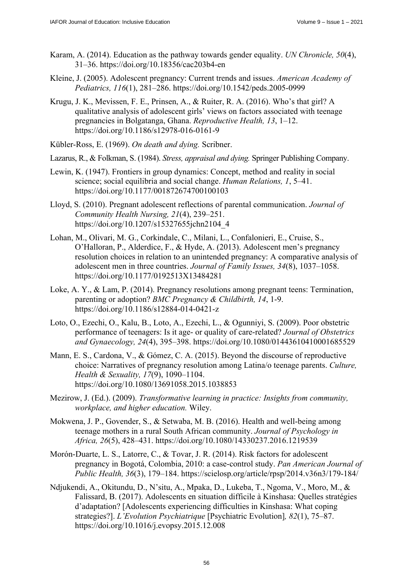- Karam, A. (2014). Education as the pathway towards gender equality. *UN Chronicle, 50*(4), 31–36. <https://doi.org/10.18356/cac203b4-en>
- Kleine, J. (2005). Adolescent pregnancy: Current trends and issues. *American Academy of Pediatrics, 116*(1), 281–286.<https://doi.org/10.1542/peds.2005-0999>
- Krugu, J. K., Mevissen, F. E., Prinsen, A., & Ruiter, R. A. (2016). Who's that girl? A qualitative analysis of adolescent girls' views on factors associated with teenage pregnancies in Bolgatanga, Ghana. *Reproductive Health, 13*, 1–12. <https://doi.org/10.1186/s12978-016-0161-9>
- Kübler-Ross, E. (1969). *On death and dying.* Scribner.
- Lazarus, R., & Folkman, S. (1984). *Stress, appraisal and dying.* Springer Publishing Company.
- Lewin, K. (1947). Frontiers in group dynamics: Concept, method and reality in social science; social equilibria and social change. *Human Relations, 1*, 5–41. <https://doi.org/10.1177/001872674700100103>
- Lloyd, S. (2010). Pregnant adolescent reflections of parental communication. *Journal of Community Health Nursing, 21*(4), 239–251. [https://doi.org/10.1207/s15327655jchn2104\\_4](https://doi.org/10.1207/s15327655jchn2104_4)
- Lohan, M., Olivari, M. G., Corkindale, C., Milani, L., Confalonieri, E., Cruise, S., O'Halloran, P., Alderdice, F., & Hyde, A. (2013). Adolescent men's pregnancy resolution choices in relation to an unintended pregnancy: A comparative analysis of adolescent men in three countries. *Journal of Family Issues, 34*(8), 1037–1058. <https://doi.org/10.1177/0192513X13484281>
- Loke, A. Y., & Lam, P. (2014). Pregnancy resolutions among pregnant teens: Termination, parenting or adoption? *BMC Pregnancy & Childbirth, 14*, 1-9. <https://doi.org/10.1186/s12884-014-0421-z>
- Loto, O., Ezechi, O., Kalu, B., Loto, A., Ezechi, L., & Ogunniyi, S. (2009). Poor obstetric performance of teenagers: Is it age- or quality of care-related? *Journal of Obstetrics and Gynaecology, 24*(4), 395–398.<https://doi.org/10.1080/01443610410001685529>
- Mann, E. S., Cardona, V., & Gómez, C. A. (2015). Beyond the discourse of reproductive choice: Narratives of pregnancy resolution among Latina/o teenage parents. *Culture, Health & Sexuality, 17*(9), 1090–1104. <https://doi.org/10.1080/13691058.2015.1038853>
- Mezirow, J. (Ed.). (2009). *Transformative learning in practice: Insights from community, workplace, and higher education.* Wiley.
- Mokwena, J. P., Govender, S., & Setwaba, M. B. (2016). Health and well-being among teenage mothers in a rural South African community. *Journal of Psychology in Africa, 26*(5), 428–431. <https://doi.org/10.1080/14330237.2016.1219539>
- Morón-Duarte, L. S., Latorre, C., & Tovar, J. R. (2014). Risk factors for adolescent pregnancy in Bogotá, Colombia, 2010: a case-control study. *Pan American Journal of Public Health, 36*(3), 179–184. <https://scielosp.org/article/rpsp/2014.v36n3/179-184/>
- Ndjukendi, A., Okitundu, D., N'situ, A., Mpaka, D., Lukeba, T., Ngoma, V., Moro, M., & Falissard, B. (2017). Adolescents en situation difficile à Kinshasa: Quelles stratégies d'adaptation? [Adolescents experiencing difficulties in Kinshasa: What coping strategies?]. *L'Evolution Psychiatrique* [Psychiatric Evolution]*, 82*(1), 75–87. <https://doi.org/10.1016/j.evopsy.2015.12.008>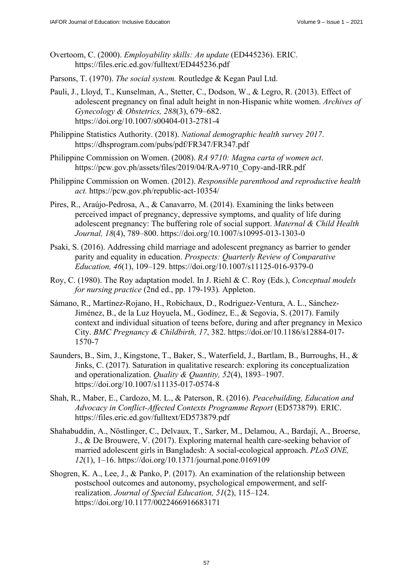- Overtoom, C. (2000). *Employability skills: An update* (ED445236). ERIC. <https://files.eric.ed.gov/fulltext/ED445236.pdf>
- Parsons, T. (1970). *The social system.* Routledge & Kegan Paul Ltd.
- Pauli, J., Lloyd, T., Kunselman, A., Stetter, C., Dodson, W., & Legro, R. (2013). Effect of adolescent pregnancy on final adult height in non-Hispanic white women. *Archives of Gynecology & Obstetrics, 288*(3), 679–682. <https://doi.org/10.1007/s00404-013-2781-4>
- Philippine Statistics Authority. (2018). *National demographic health survey 2017*. <https://dhsprogram.com/pubs/pdf/FR347/FR347.pdf>
- Philippine Commission on Women. (2008). *RA 9710: Magna carta of women act*. [https://pcw.gov.ph/assets/files/2019/04/RA-9710\\_Copy-and-IRR.pdf](https://pcw.gov.ph/assets/files/2019/04/RA-9710_Copy-and-IRR.pdf)
- Philippine Commission on Women. (2012). *Responsible parenthood and reproductive health act.* <https://pcw.gov.ph/republic-act-10354/>
- Pires, R., Araújo-Pedrosa, A., & Canavarro, M. (2014). Examining the links between perceived impact of pregnancy, depressive symptoms, and quality of life during adolescent pregnancy: The buffering role of social support. *Maternal & Child Health Journal, 18*(4), 789–800.<https://doi.org/10.1007/s10995-013-1303-0>
- Psaki, S. (2016). Addressing child marriage and adolescent pregnancy as barrier to gender parity and equality in education. *Prospects: Quarterly Review of Comparative Education, 46*(1), 109–129.<https://doi.org/10.1007/s11125-016-9379-0>
- Roy, C. (1980). The Roy adaptation model. In J. Riehl & C. Roy (Eds.), *Conceptual models for nursing practice* (2nd ed., pp. 179-193)*.* Appleton.
- Sámano, R., Martínez-Rojano, H., Robichaux, D., Rodríguez-Ventura, A. L., Sánchez-Jiménez, B., de la Luz Hoyuela, M., Godínez, E., & Segovia, S. (2017). Family context and individual situation of teens before, during and after pregnancy in Mexico City. *BMC Pregnancy & Childbirth, 17*, 382. [https://doi.or/10.1186/s12884-017-](https://doi.or/10.1186/s12884-017-1570-7) [1570-7](https://doi.or/10.1186/s12884-017-1570-7)
- Saunders, B., Sim, J., Kingstone, T., Baker, S., Waterfield, J., Bartlam, B., Burroughs, H., & Jinks, C. (2017). Saturation in qualitative research: exploring its conceptualization and operationalization. *Quality & Quantity, 52*(4), 1893–1907. <https://doi.org/10.1007/s11135-017-0574-8>
- Shah, R., Maber, E., Cardozo, M. L., & Paterson, R. (2016). *Peacebuilding, Education and Advocacy in Conflict-Affected Contexts Programme Report* (ED573879)*.* ERIC. <https://files.eric.ed.gov/fulltext/ED573879.pdf>
- Shahabuddin, A., Nöstlinger, C., Delvaux, T., Sarker, M., Delamou, A., Bardají, A., Broerse, J., & De Brouwere, V. (2017). Exploring maternal health care-seeking behavior of married adolescent girls in Bangladesh: A social-ecological approach. *PLoS ONE, 12*(1), 1–16. <https://doi.org/10.1371/journal.pone.0169109>
- Shogren, K. A., Lee, J., & Panko, P. (2017). An examination of the relationship between postschool outcomes and autonomy, psychological empowerment, and selfrealization. *Journal of Special Education, 51*(2), 115–124. <https://doi.org/10.1177/0022466916683171>